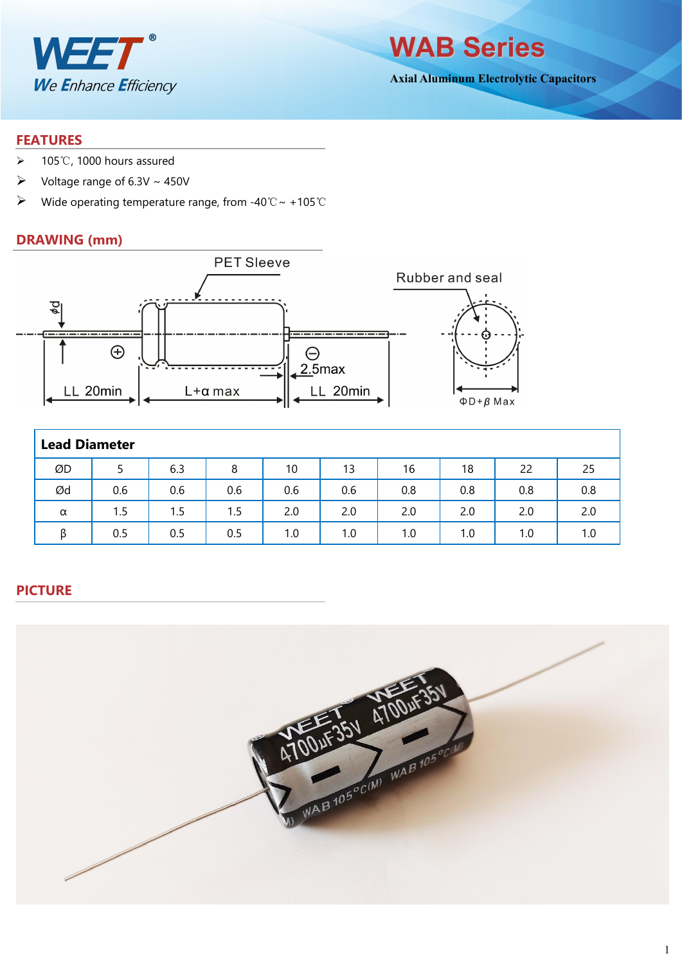

**WAB Series**

**Axial Aluminum Electrolytic Capacitors**

#### **FEATURES**

- 105℃, 1000 hours assured
- $\triangleright$  Voltage range of 6.3V ~ 450V
- Wide operating temperature range, from -40℃~ +105℃

#### **DRAWING (mm)**



|    | <b>Lead Diameter</b> |     |     |     |     |     |     |     |     |  |  |  |  |
|----|----------------------|-----|-----|-----|-----|-----|-----|-----|-----|--|--|--|--|
| ØD |                      | 6.3 | 8   | 10  | 13  | 16  | 18  | 22  | 25  |  |  |  |  |
| Ød | 0.6                  | 0.6 | 0.6 | 0.6 | 0.6 | 0.8 | 0.8 | 0.8 | 0.8 |  |  |  |  |
| α  | 1.5                  | 1.5 | 1.5 | 2.0 | 2.0 | 2.0 | 2.0 | 2.0 | 2.0 |  |  |  |  |
|    | 0.5                  | 0.5 | 0.5 | 1.0 | 1.0 | 1.0 | 1.0 | 1.0 | 1.0 |  |  |  |  |

### **PICTURE**

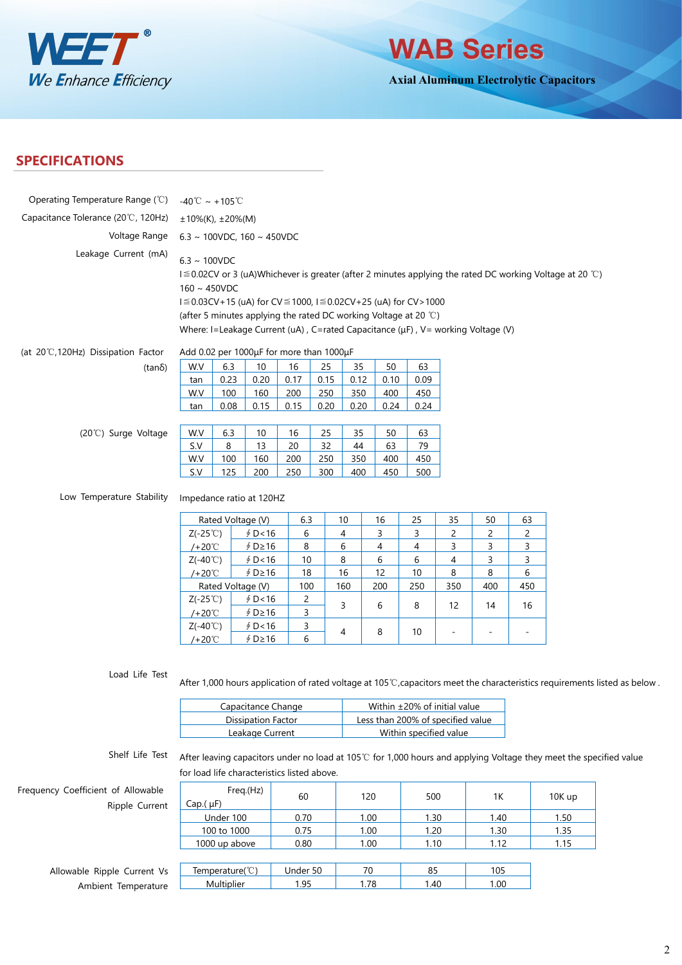



**Axial Aluminum Electrolytic Capacitors**

## **SPECIFICATIONS**

| Operating Temperature Range (°C)                                            | -40°C ~ +105°C                                                       |                            |                                                                                                                                                                                                                                                                                                    |                              |                           |                           |                                                             |                           |                              |                     |                          |                                                                                                                            |
|-----------------------------------------------------------------------------|----------------------------------------------------------------------|----------------------------|----------------------------------------------------------------------------------------------------------------------------------------------------------------------------------------------------------------------------------------------------------------------------------------------------|------------------------------|---------------------------|---------------------------|-------------------------------------------------------------|---------------------------|------------------------------|---------------------|--------------------------|----------------------------------------------------------------------------------------------------------------------------|
| Capacitance Tolerance (20°C, 120Hz)                                         | $±10\%(K), ±20\%(M)$                                                 |                            |                                                                                                                                                                                                                                                                                                    |                              |                           |                           |                                                             |                           |                              |                     |                          |                                                                                                                            |
| Voltage Range                                                               |                                                                      |                            | 6.3 ~ 100VDC, 160 ~ 450VDC                                                                                                                                                                                                                                                                         |                              |                           |                           |                                                             |                           |                              |                     |                          |                                                                                                                            |
| Leakage Current (mA)<br>(at 20°C,120Hz) Dissipation Factor<br>$(tan\delta)$ | $6.3 \sim 100$ VDC<br>$160 \sim 450$ VDC<br>W.V<br>tan<br>W.V<br>tan | 6.3<br>0.23<br>100<br>0.08 | I ≦ 0.03CV+15 (uA) for CV ≤ 1000, I ≤ 0.02CV+25 (uA) for CV > 1000<br>(after 5 minutes applying the rated DC working Voltage at 20 °C)<br>Where: I=Leakage Current (uA), C=rated Capacitance (µF), V= working Voltage (V)<br>Add 0.02 per 1000µF for more than 1000µF<br>10<br>0.20<br>160<br>0.15 | 16<br>0.17<br>200<br>0.15    | 25<br>0.15<br>250<br>0.20 | 35<br>0.12<br>350<br>0.20 | 50<br>0.10<br>400<br>0.24                                   | 63<br>0.09<br>450<br>0.24 |                              |                     |                          | I ≦ 0.02CV or 3 (uA)Whichever is greater (after 2 minutes applying the rated DC working Voltage at 20 ℃)                   |
| (20°C) Surge Voltage                                                        | W.V<br>S.V<br>W.V<br>S.V                                             | 6.3<br>8<br>100<br>125     | 10<br>13<br>160<br>200                                                                                                                                                                                                                                                                             | 16<br>20<br>200<br>250       | 25<br>32<br>250<br>300    | 35<br>44<br>350<br>400    | 50<br>63<br>400<br>450                                      | 63<br>79<br>450<br>500    |                              |                     |                          |                                                                                                                            |
| Low Temperature Stability                                                   |                                                                      |                            | Impedance ratio at 120HZ                                                                                                                                                                                                                                                                           |                              |                           |                           |                                                             |                           |                              |                     |                          |                                                                                                                            |
|                                                                             |                                                                      |                            | Rated Voltage (V)                                                                                                                                                                                                                                                                                  | 6.3                          |                           | 10                        | 16                                                          | 25                        | 35                           | 50                  | 63                       |                                                                                                                            |
|                                                                             | $Z(-25^{\circ}\mathrm{C})$                                           |                            | \$D<16                                                                                                                                                                                                                                                                                             | 6<br>8                       |                           | 4<br>6                    | 3<br>4                                                      | 3<br>4                    | $\overline{2}$<br>3          | $\overline{c}$<br>3 | $\overline{c}$<br>3      |                                                                                                                            |
|                                                                             | $/+20^{\circ}$<br>$Z(-40^{\circ}C)$                                  |                            | $$D \ge 16$<br>\$D < 16                                                                                                                                                                                                                                                                            | 10                           |                           | 8                         | 6                                                           | 6                         | 4                            | 3                   | 3                        |                                                                                                                            |
|                                                                             | $/+20^{\circ}$ C                                                     |                            | ∮ D≥16                                                                                                                                                                                                                                                                                             | 18                           |                           | 16                        | 12                                                          | 10                        | 8                            | 8                   | 6                        |                                                                                                                            |
|                                                                             |                                                                      |                            | Rated Voltage (V)                                                                                                                                                                                                                                                                                  | 100                          |                           | 160                       | 200                                                         | 250                       | 350                          | 400                 | 450                      |                                                                                                                            |
|                                                                             | $Z(-25^{\circ}\mathrm{C})$<br>$/+20^{\circ}$                         |                            | \$D<16<br>∮ D≥16                                                                                                                                                                                                                                                                                   | 2<br>3                       |                           | 3                         | 6                                                           | 8                         | 12                           | 14                  | 16                       |                                                                                                                            |
|                                                                             | $Z(-40^{\circ}C)$<br>$/+20^{\circ}$ C                                |                            | \$D < 16<br>∮ D≥16                                                                                                                                                                                                                                                                                 | $\overline{\mathbf{3}}$<br>6 |                           | 4                         | 8                                                           | 10                        |                              |                     | $\overline{\phantom{a}}$ |                                                                                                                            |
| Load Life Test                                                              |                                                                      |                            |                                                                                                                                                                                                                                                                                                    |                              |                           |                           |                                                             |                           |                              |                     |                          | After 1,000 hours application of rated voltage at 105°C, capacitors meet the characteristics requirements listed as below. |
|                                                                             |                                                                      |                            | Capacitance Change                                                                                                                                                                                                                                                                                 |                              |                           |                           |                                                             |                           | Within ±20% of initial value |                     |                          |                                                                                                                            |
|                                                                             | <b>Dissipation Factor</b>                                            |                            |                                                                                                                                                                                                                                                                                                    |                              |                           |                           | Less than 200% of specified value<br>Within specified value |                           |                              |                     |                          |                                                                                                                            |
|                                                                             |                                                                      |                            | Leakage Current                                                                                                                                                                                                                                                                                    |                              |                           |                           |                                                             |                           |                              |                     |                          |                                                                                                                            |
| Shelf Life Test                                                             |                                                                      |                            | for load life characteristics listed above.                                                                                                                                                                                                                                                        |                              |                           |                           |                                                             |                           |                              |                     |                          | After leaving capacitors under no load at 105℃ for 1,000 hours and applying Voltage they meet the specified value          |
| Frequency Coefficient of Allowable                                          |                                                                      |                            | Freq.(Hz)                                                                                                                                                                                                                                                                                          | 60                           |                           | 120                       |                                                             | 500                       |                              | $1K$                |                          | 10K up                                                                                                                     |

Ripple Current

100 to 1000 0.75 1.00 1.20 1.30 1.35 Allowable Ripple Current Vs **F**emperature(°C)

 $Cap.(\mu F)$ 

Under 100 0.70 1.00 1.30 1.40 1.50